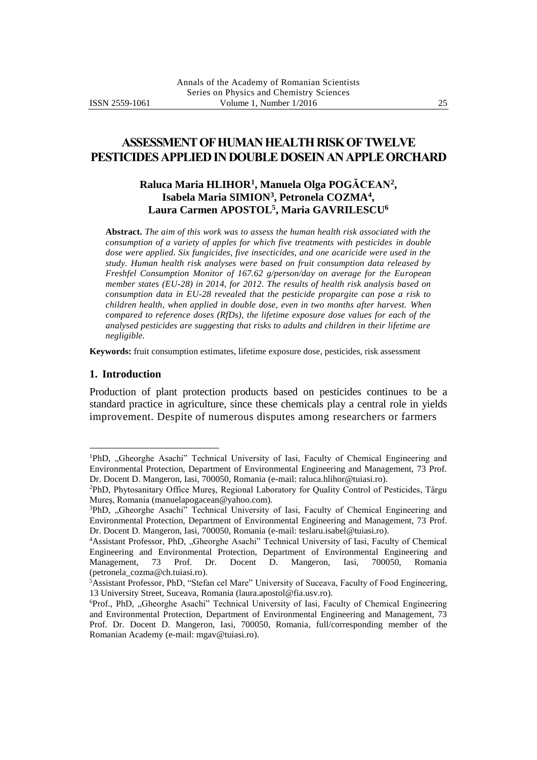# ISSN 2559-1061 Volume 1, Number 1/2016 25

# **ASSESSMENT OF HUMAN HEALTH RISK OF TWELVE PESTICIDES APPLIED IN DOUBLE DOSEIN AN APPLE ORCHARD**

# **Raluca Maria HLIHOR<sup>1</sup> , Manuela Olga POGĂCEAN<sup>2</sup> , Isabela Maria SIMION<sup>3</sup> , Petronela COZMA<sup>4</sup> , Laura Carmen APOSTOL<sup>5</sup> , Maria GAVRILESCU<sup>6</sup>**

**Abstract.** *The aim of this work was to assess the human health risk associated with the consumption of a variety of apples for which five treatments with pesticides in double dose were applied. Six fungicides, five insecticides, and one acaricide were used in the study. Human health risk analyses were based on fruit consumption data released by Freshfel Consumption Monitor of 167.62 g/person/day on average for the European member states (EU-28) in 2014, for 2012. The results of health risk analysis based on consumption data in EU-28 revealed that the pesticide propargite can pose a risk to children health, when applied in double dose, even in two months after harvest. When compared to reference doses (RfDs), the lifetime exposure dose values for each of the analysed pesticides are suggesting that risks to adults and children in their lifetime are negligible.*

**Keywords:** fruit consumption estimates, lifetime exposure dose, pesticides, risk assessment

#### **1. Introduction**

1

Production of plant protection products based on pesticides continues to be a standard practice in agriculture, since these chemicals play a central role in yields improvement. Despite of numerous disputes among researchers or farmers

<sup>&</sup>lt;sup>1</sup>PhD, "Gheorghe Asachi" Technical University of Iasi, Faculty of Chemical Engineering and Environmental Protection, Department of Environmental Engineering and Management, 73 Prof. Dr. Docent D. Mangeron, Iasi, 700050, Romania (e-mail: raluca.hlihor@tuiasi.ro).

<sup>2</sup>PhD, Phytosanitary Office Mureş, Regional Laboratory for Quality Control of Pesticides, Târgu Mureş, Romania (manuelapogacean@yahoo.com).

<sup>&</sup>lt;sup>3</sup>PhD, "Gheorghe Asachi" Technical University of Iasi, Faculty of Chemical Engineering and Environmental Protection, Department of Environmental Engineering and Management, 73 Prof. Dr. Docent D. Mangeron, Iasi, 700050, Romania (e-mail: teslaru.isabel@tuiasi.ro).

<sup>&</sup>lt;sup>4</sup>Assistant Professor, PhD, "Gheorghe Asachi" Technical University of Iasi, Faculty of Chemical Engineering and Environmental Protection, Department of Environmental Engineering and Management, 73 Prof. Dr. Docent D. Mangeron, Iasi, 700050, Romania (petronela\_cozma@ch.tuiasi.ro).

<sup>5</sup>Assistant Professor, PhD, "Stefan cel Mare" University of Suceava, Faculty of Food Engineering, 13 University Street, Suceava, Romania (laura.apostol@fia.usv.ro).

<sup>&</sup>lt;sup>6</sup>Prof., PhD, "Gheorghe Asachi" Technical University of Iasi, Faculty of Chemical Engineering and Environmental Protection, Department of Environmental Engineering and Management, 73 Prof. Dr. Docent D. Mangeron, Iasi, 700050, Romania, full/corresponding member of the Romanian Academy (e-mail: mgav@tuiasi.ro).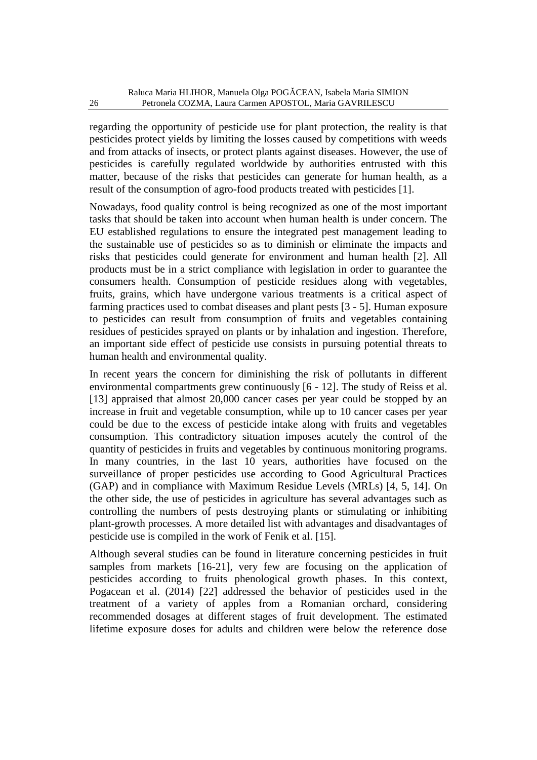regarding the opportunity of pesticide use for plant protection, the reality is that pesticides protect yields by limiting the losses caused by competitions with weeds and from attacks of insects, or protect plants against diseases. However, the use of pesticides is carefully regulated worldwide by authorities entrusted with this matter, because of the risks that pesticides can generate for human health, as a result of the consumption of agro-food products treated with pesticides [1].

Nowadays, food quality control is being recognized as one of the most important tasks that should be taken into account when human health is under concern. The EU established regulations to ensure the integrated pest management leading to the sustainable use of pesticides so as to diminish or eliminate the impacts and risks that pesticides could generate for environment and human health [2]. All products must be in a strict compliance with legislation in order to guarantee the consumers health. Consumption of pesticide residues along with vegetables, fruits, grains, which have undergone various treatments is a critical aspect of farming practices used to combat diseases and plant pests [3 - 5]. Human exposure to pesticides can result from consumption of fruits and vegetables containing residues of pesticides sprayed on plants or by inhalation and ingestion. Therefore, an important side effect of pesticide use consists in pursuing potential threats to human health and environmental quality.

In recent years the concern for diminishing the risk of pollutants in different environmental compartments grew continuously [6 - 12]. The study of Reiss et al. [13] appraised that almost 20,000 cancer cases per year could be stopped by an increase in fruit and vegetable consumption, while up to 10 cancer cases per year could be due to the excess of pesticide intake along with fruits and vegetables consumption. This contradictory situation imposes acutely the control of the quantity of pesticides in fruits and vegetables by continuous monitoring programs. In many countries, in the last 10 years, authorities have focused on the surveillance of proper pesticides use according to Good Agricultural Practices (GAP) and in compliance with Maximum Residue Levels (MRLs) [4, 5, 14]. On the other side, the use of pesticides in agriculture has several advantages such as controlling the numbers of pests destroying plants or stimulating or inhibiting plant-growth processes. A more detailed list with advantages and disadvantages of pesticide use is compiled in the work of Fenik et al. [15].

Although several studies can be found in literature concerning pesticides in fruit samples from markets [16-21], very few are focusing on the application of pesticides according to fruits phenological growth phases. In this context, Pogacean et al. (2014) [22] addressed the behavior of pesticides used in the treatment of a variety of apples from a Romanian orchard, considering recommended dosages at different stages of fruit development. The estimated lifetime exposure doses for adults and children were below the reference dose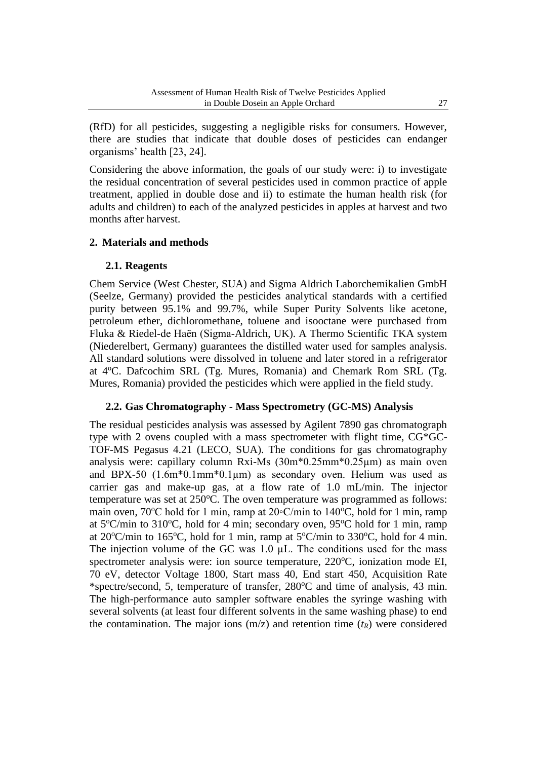(RfD) for all pesticides, suggesting a negligible risks for consumers. However, there are studies that indicate that double doses of pesticides can endanger organisms' health [23, 24].

Considering the above information, the goals of our study were: i) to investigate the residual concentration of several pesticides used in common practice of apple treatment, applied in double dose and ii) to estimate the human health risk (for adults and children) to each of the analyzed pesticides in apples at harvest and two months after harvest.

# **2. Materials and methods**

# **2.1. Reagents**

Chem Service (West Chester, SUA) and Sigma Aldrich Laborchemikalien GmbH (Seelze, Germany) provided the pesticides analytical standards with a certified purity between 95.1% and 99.7%, while Super Purity Solvents like acetone, petroleum ether, dichloromethane, toluene and isooctane were purchased from Fluka & Riedel-de Haën (Sigma-Aldrich, UK). A Thermo Scientific TKA system (Niederelbert, Germany) guarantees the distilled water used for samples analysis. All standard solutions were dissolved in toluene and later stored in a refrigerator at 4°C. Dafcochim SRL (Tg. Mures, Romania) and Chemark Rom SRL (Tg. Mures, Romania) provided the pesticides which were applied in the field study.

# **2.2. Gas Chromatography - Mass Spectrometry (GC-MS) Analysis**

The residual pesticides analysis was assessed by Agilent 7890 gas chromatograph type with 2 ovens coupled with a mass spectrometer with flight time, CG\*GC-TOF-MS Pegasus 4.21 (LECO, SUA). The conditions for gas chromatography analysis were: capillary column Rxi-Ms (30m\*0.25mm\*0.25µm) as main oven and BPX-50 (1.6m\*0.1mm\*0.1µm) as secondary oven. Helium was used as carrier gas and make-up gas, at a flow rate of 1.0 mL/min. The injector temperature was set at  $250^{\circ}$ C. The oven temperature was programmed as follows: main oven, 70 $\degree$ C hold for 1 min, ramp at 20 $\degree$ C/min to 140 $\degree$ C, hold for 1 min, ramp at  $5^{\circ}$ C/min to 310°C, hold for 4 min; secondary oven, 95°C hold for 1 min, ramp at 20 $\degree$ C/min to 165 $\degree$ C, hold for 1 min, ramp at 5 $\degree$ C/min to 330 $\degree$ C, hold for 4 min. The injection volume of the GC was  $1.0 \mu L$ . The conditions used for the mass spectrometer analysis were: ion source temperature,  $220^{\circ}$ C, ionization mode EI, 70 eV, detector Voltage 1800, Start mass 40, End start 450, Acquisition Rate \*spectre/second, 5, temperature of transfer, 280°C and time of analysis, 43 min. The high-performance auto sampler software enables the syringe washing with several solvents (at least four different solvents in the same washing phase) to end the contamination. The major ions  $(m/z)$  and retention time  $(t_R)$  were considered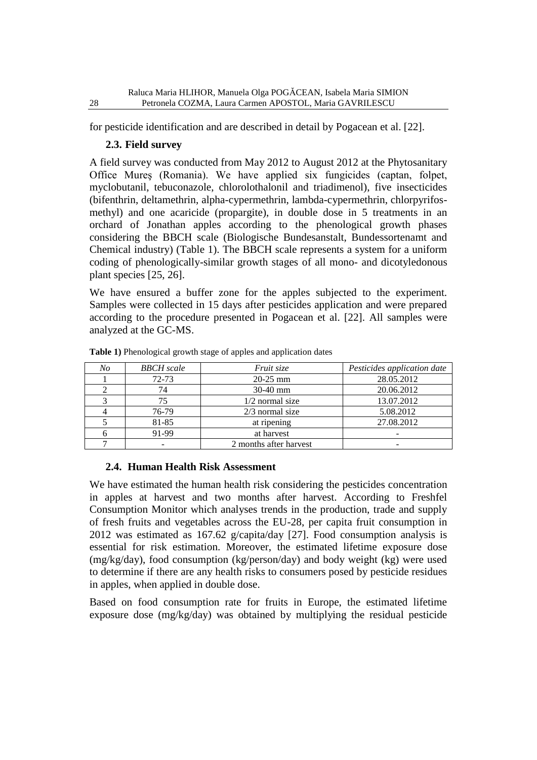for pesticide identification and are described in detail by Pogacean et al. [22].

# **2.3. Field survey**

A field survey was conducted from May 2012 to August 2012 at the Phytosanitary Office Mureş (Romania). We have applied six fungicides (captan, folpet, myclobutanil, tebuconazole, chlorolothalonil and triadimenol), five insecticides (bifenthrin, deltamethrin, alpha-cypermethrin, lambda-cypermethrin, chlorpyrifosmethyl) and one acaricide (propargite), in double dose in 5 treatments in an orchard of Jonathan apples according to the phenological growth phases considering the BBCH scale (Biologische Bundesanstalt, Bundessortenamt and Chemical industry) (Table 1). The BBCH scale represents a system for a uniform coding of phenologically-similar growth stages of all mono- and dicotyledonous plant species [25, 26].

We have ensured a buffer zone for the apples subjected to the experiment. Samples were collected in 15 days after pesticides application and were prepared according to the procedure presented in Pogacean et al. [22]. All samples were analyzed at the GC-MS.

| No | <b>BBCH</b> scale | Fruit size             | Pesticides application date |
|----|-------------------|------------------------|-----------------------------|
|    | $72 - 73$         | $20-25$ mm             | 28.05.2012                  |
|    | 74                | $30-40$ mm             | 20.06.2012                  |
|    | 75                | $1/2$ normal size      | 13.07.2012                  |
|    | 76-79             | $2/3$ normal size      | 5.08.2012                   |
|    | 81-85             | at ripening            | 27.08.2012                  |
|    | 91-99             | at harvest             |                             |
|    |                   | 2 months after harvest |                             |

**Table 1)** Phenological growth stage of apples and application dates

# **2.4. Human Health Risk Assessment**

We have estimated the human health risk considering the pesticides concentration in apples at harvest and two months after harvest. According to Freshfel Consumption Monitor which analyses trends in the production, trade and supply of fresh fruits and vegetables across the EU-28, per capita fruit consumption in 2012 was estimated as 167.62 g/capita/day [27]. Food consumption analysis is essential for risk estimation. Moreover, the estimated lifetime exposure dose (mg/kg/day), food consumption (kg/person/day) and body weight (kg) were used to determine if there are any health risks to consumers posed by pesticide residues in apples, when applied in double dose.

Based on food consumption rate for fruits in Europe, the estimated lifetime exposure dose (mg/kg/day) was obtained by multiplying the residual pesticide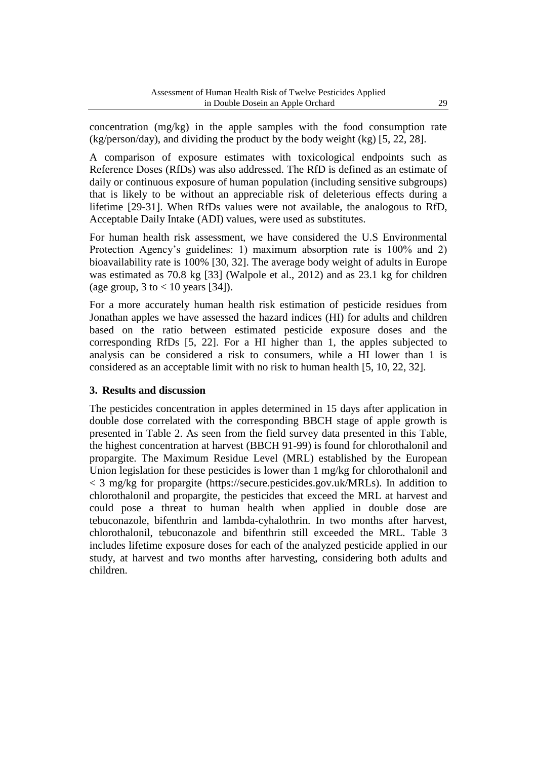concentration (mg/kg) in the apple samples with the food consumption rate (kg/person/day), and dividing the product by the body weight (kg) [5, 22, 28].

A comparison of exposure estimates with toxicological endpoints such as Reference Doses (RfDs) was also addressed. The RfD is defined as an estimate of daily or continuous exposure of human population (including sensitive subgroups) that is likely to be without an appreciable risk of deleterious effects during a lifetime [29-31]. When RfDs values were not available, the analogous to RfD, Acceptable Daily Intake (ADI) values, were used as substitutes.

For human health risk assessment, we have considered the U.S Environmental Protection Agency's guidelines: 1) maximum absorption rate is 100% and 2) bioavailability rate is 100% [30, 32]. The average body weight of adults in Europe was estimated as 70.8 kg [33] (Walpole et al., 2012) and as 23.1 kg for children (age group,  $3$  to  $< 10$  years [34]).

For a more accurately human health risk estimation of pesticide residues from Jonathan apples we have assessed the hazard indices (HI) for adults and children based on the ratio between estimated pesticide exposure doses and the corresponding RfDs [5, 22]. For a HI higher than 1, the apples subjected to analysis can be considered a risk to consumers, while a HI lower than 1 is considered as an acceptable limit with no risk to human health [5, 10, 22, 32].

# **3. Results and discussion**

The pesticides concentration in apples determined in 15 days after application in double dose correlated with the corresponding BBCH stage of apple growth is presented in Table 2. As seen from the field survey data presented in this Table, the highest concentration at harvest (BBCH 91-99) is found for chlorothalonil and propargite. The Maximum Residue Level (MRL) established by the European Union legislation for these pesticides is lower than 1 mg/kg for chlorothalonil and < 3 mg/kg for propargite (https://secure.pesticides.gov.uk/MRLs). In addition to chlorothalonil and propargite, the pesticides that exceed the MRL at harvest and could pose a threat to human health when applied in double dose are tebuconazole, bifenthrin and lambda-cyhalothrin. In two months after harvest, chlorothalonil, tebuconazole and bifenthrin still exceeded the MRL. Table 3 includes lifetime exposure doses for each of the analyzed pesticide applied in our study, at harvest and two months after harvesting, considering both adults and children.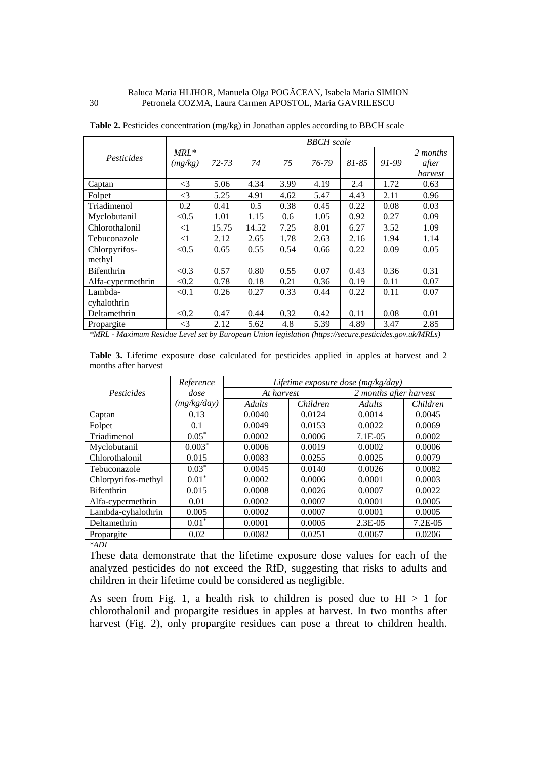|                   |                   | <b>BBCH</b> scale |       |      |       |           |       |                              |
|-------------------|-------------------|-------------------|-------|------|-------|-----------|-------|------------------------------|
| Pesticides        | $MRL*$<br>(mg/kg) | 72-73             | 74    | 75   | 76-79 | $81 - 85$ | 91-99 | 2 months<br>after<br>harvest |
| Captan            | $\leq$ 3          | 5.06              | 4.34  | 3.99 | 4.19  | 2.4       | 1.72  | 0.63                         |
| Folpet            | $\leq$ 3          | 5.25              | 4.91  | 4.62 | 5.47  | 4.43      | 2.11  | 0.96                         |
| Triadimenol       | 0.2               | 0.41              | 0.5   | 0.38 | 0.45  | 0.22      | 0.08  | 0.03                         |
| Myclobutanil      | < 0.5             | 1.01              | 1.15  | 0.6  | 1.05  | 0.92      | 0.27  | 0.09                         |
| Chlorothalonil    | $<$ 1             | 15.75             | 14.52 | 7.25 | 8.01  | 6.27      | 3.52  | 1.09                         |
| Tebuconazole      | $<$ 1             | 2.12              | 2.65  | 1.78 | 2.63  | 2.16      | 1.94  | 1.14                         |
| Chlorpyrifos-     | < 0.5             | 0.65              | 0.55  | 0.54 | 0.66  | 0.22      | 0.09  | 0.05                         |
| methyl            |                   |                   |       |      |       |           |       |                              |
| <b>Bifenthrin</b> | < 0.3             | 0.57              | 0.80  | 0.55 | 0.07  | 0.43      | 0.36  | 0.31                         |
| Alfa-cypermethrin | < 0.2             | 0.78              | 0.18  | 0.21 | 0.36  | 0.19      | 0.11  | 0.07                         |
| Lambda-           | < 0.1             | 0.26              | 0.27  | 0.33 | 0.44  | 0.22      | 0.11  | 0.07                         |
| cyhalothrin       |                   |                   |       |      |       |           |       |                              |
| Deltamethrin      | < 0.2             | 0.47              | 0.44  | 0.32 | 0.42  | 0.11      | 0.08  | 0.01                         |
| Propargite        | $\leq$ 3          | 2.12              | 5.62  | 4.8  | 5.39  | 4.89      | 3.47  | 2.85                         |

**Table 2.** Pesticides concentration (mg/kg) in Jonathan apples according to BBCH scale

*\*MRL - Maximum Residue Level set by European Union legislation (https://secure.pesticides.gov.uk/MRLs)*

**Table 3.** Lifetime exposure dose calculated for pesticides applied in apples at harvest and 2 months after harvest

|                     | Reference   | Lifetime exposure dose (mg/kg/day) |          |                        |           |  |  |  |
|---------------------|-------------|------------------------------------|----------|------------------------|-----------|--|--|--|
| Pesticides          | dose        | At harvest                         |          | 2 months after harvest |           |  |  |  |
|                     | (mg/kg/day) | Adults                             | Children | <b>Adults</b>          | Children  |  |  |  |
| Captan              | 0.13        | 0.0040                             | 0.0124   | 0.0014                 | 0.0045    |  |  |  |
| Folpet              | 0.1         | 0.0049                             | 0.0153   | 0.0022                 | 0.0069    |  |  |  |
| Triadimenol         | $0.05*$     | 0.0002                             | 0.0006   | $7.1E-0.5$             | 0.0002    |  |  |  |
| Myclobutanil        | $0.003*$    | 0.0006                             | 0.0019   | 0.0002                 | 0.0006    |  |  |  |
| Chlorothalonil      | 0.015       | 0.0083                             | 0.0255   | 0.0025                 | 0.0079    |  |  |  |
| Tebuconazole        | $0.03*$     | 0.0045                             | 0.0140   | 0.0026                 | 0.0082    |  |  |  |
| Chlorpyrifos-methyl | $0.01*$     | 0.0002                             | 0.0006   | 0.0001                 | 0.0003    |  |  |  |
| <b>Bifenthrin</b>   | 0.015       | 0.0008                             | 0.0026   | 0.0007                 | 0.0022    |  |  |  |
| Alfa-cypermethrin   | 0.01        | 0.0002                             | 0.0007   | 0.0001                 | 0.0005    |  |  |  |
| Lambda-cyhalothrin  | 0.005       | 0.0002                             | 0.0007   | 0.0001                 | 0.0005    |  |  |  |
| Deltamethrin        | $0.01*$     | 0.0001                             | 0.0005   | $2.3E-0.5$             | $7.2E-05$ |  |  |  |
| Propargite          | 0.02        | 0.0082                             | 0.0251   | 0.0067                 | 0.0206    |  |  |  |

*\*ADI*

These data demonstrate that the lifetime exposure dose values for each of the analyzed pesticides do not exceed the RfD, suggesting that risks to adults and children in their lifetime could be considered as negligible.

As seen from Fig. 1, a health risk to children is posed due to  $HI > 1$  for chlorothalonil and propargite residues in apples at harvest. In two months after harvest (Fig. 2), only propargite residues can pose a threat to children health.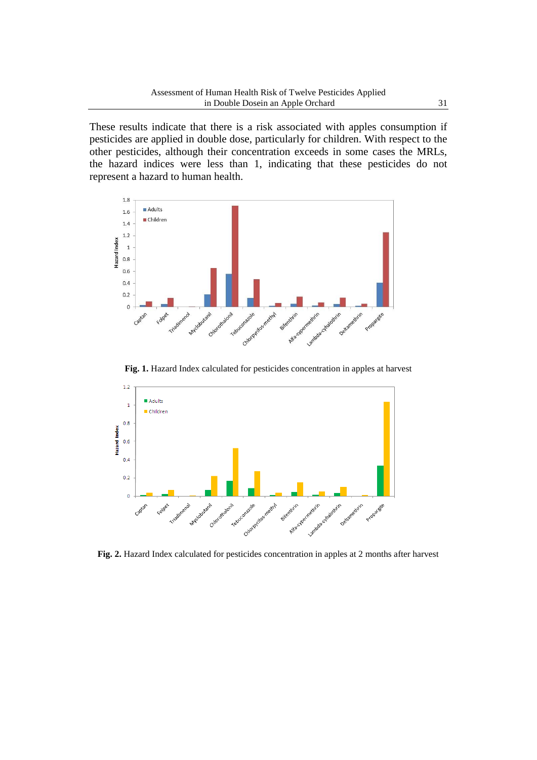These results indicate that there is a risk associated with apples consumption if pesticides are applied in double dose, particularly for children. With respect to the other pesticides, although their concentration exceeds in some cases the MRLs, the hazard indices were less than 1, indicating that these pesticides do not represent a hazard to human health.



**Fig. 1.** Hazard Index calculated for pesticides concentration in apples at harvest



**Fig. 2.** Hazard Index calculated for pesticides concentration in apples at 2 months after harvest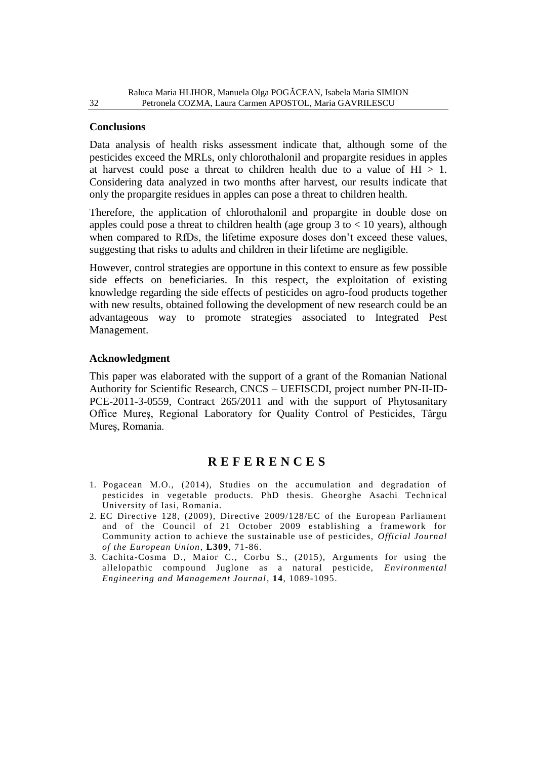#### **Conclusions**

Data analysis of health risks assessment indicate that, although some of the pesticides exceed the MRLs, only chlorothalonil and propargite residues in apples at harvest could pose a threat to children health due to a value of  $HI > 1$ . Considering data analyzed in two months after harvest, our results indicate that only the propargite residues in apples can pose a threat to children health.

Therefore, the application of chlorothalonil and propargite in double dose on apples could pose a threat to children health (age group  $3 \text{ to } < 10$  years), although when compared to RfDs, the lifetime exposure doses don't exceed these values, suggesting that risks to adults and children in their lifetime are negligible.

However, control strategies are opportune in this context to ensure as few possible side effects on beneficiaries. In this respect, the exploitation of existing knowledge regarding the side effects of pesticides on agro-food products together with new results, obtained following the development of new research could be an advantageous way to promote strategies associated to Integrated Pest Management.

#### **Acknowledgment**

This paper was elaborated with the support of a grant of the Romanian National Authority for Scientific Research, CNCS – UEFISCDI, project number PN-II-ID-PCE-2011-3-0559, Contract 265/2011 and with the support of Phytosanitary Office Mureş, Regional Laboratory for Quality Control of Pesticides, Târgu Mureş, Romania.

# **R E F E R E N C E S**

- 1. Pogacean M.O., (2014), Studies on the accumulation and degradation of pesticides in vegetable products. PhD thesis. Gheorghe Asachi Technical University of Iasi, Romania.
- 2. EC Directive 128, (2009), Directive 2009/128/EC of the European Parliament and of the Council of 21 October 2009 establishing a framework for Community action to achieve the sustainable use of pesticides, *Official Journal of the European Union*, **L309**, 71-86.
- 3. Cachita-Cosma D., Maior C., Corbu S., (2015), Arguments for using the allelopathic compound Juglone as a natural pesticide, *Environmental Engineering and Management Journal*, **14**, 1089-1095.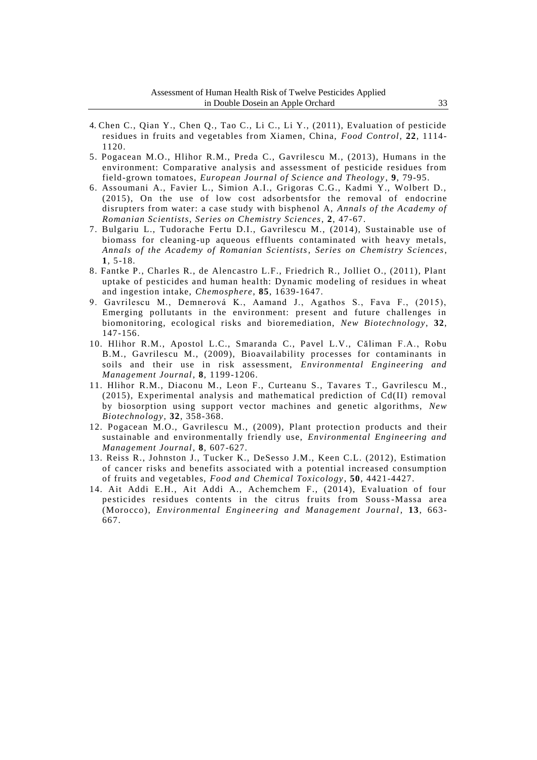- 4. Chen C., Qian Y., Chen Q., Tao C., Li C., Li Y., (2011), Evaluation of pesticide residues in fruits and vegetables from Xiamen, China, *Food Control*, **22**, 1114- 1120.
- 5. Pogacean M.O., Hlihor R.M., Preda C., Gavrilescu M., (2013), Humans in the environment: Comparative analysis and assessment of pesticide residues from field-grown tomatoes, *European Journal of Science and Theology* , **9**, 79-95.
- 6. Assoumani A., Favier L., Simion A.I., Grigoras C.G., Kadmi Y., Wolbert D., (2015), On the use of low cost adsorbentsfor the removal of endocrine disrupters from water: a case study with bisphenol A, *Annals of the Academy of Romanian Scientists*, *Series on Chemistry Sciences*, **2**, 47-67.
- 7. Bulgariu L., Tudorache Fertu D.I., Gavrilescu M., (2014), Sustainable use of biomass for cleaning-up aqueous effluents contaminated with heavy metals, *Annals of the Academy of Romanian Scientists*, *Series on Chemistry Sciences*, **1**, 5-18.
- 8. Fantke P., Charles R., de Alencastro L.F., Friedrich R., Jolliet O., (2011), Plant uptake of pesticides and human health: Dynamic modeling of residues in wheat and ingestion intake, *Chemosphere*, **85**, 1639-1647.
- 9. Gavrilescu M., Demnerová K., Aamand J., Agathos S., Fava F., (2015), Emerging pollutants in the environment: present and future challenges in biomonitoring, ecological risks and bioremediation, *New Biotechnology*, **32**, 147-156.
- 10. Hlihor R.M., Apostol L.C., Smaranda C., Pavel L.V., Căliman F.A., Robu B.M., Gavrilescu M., (2009), Bioavailability processes for contaminants in soils and their use in risk assessment, *Environmental Engineering and Management Journal*, **8**, 1199-1206.
- 11. Hlihor R.M., Diaconu M., Leon F., Curteanu S., Tavare s T., Gavrilescu M., (2015), Experimental analysis and mathematical prediction of Cd(II) removal by biosorption using support vector machines and genetic algorithms, *New Biotechnology*, **32**, 358-368.
- 12. Pogacean M.O., Gavrilescu M., (2009), Plant protection products and their sustainable and environmentally friendly use, *Environmental Engineering and Management Journal*, **8**, 607-627.
- 13. Reiss R., Johnston J., Tucker K., DeSesso J.M., Keen C.L. (2012), Estimation of cancer risks and benefits associated with a potential increased consumption of fruits and vegetables, *Food and Chemical Toxicology* , **50**, 4421-4427.
- 14. Ait Addi E.H., Ait Addi A., Achemchem F., (2014), Evaluation of four pesticides residues contents in the citrus fruits from Souss-Massa area (Morocco), *Environmental Engineering and Management Journal* , **13**, 663- 667.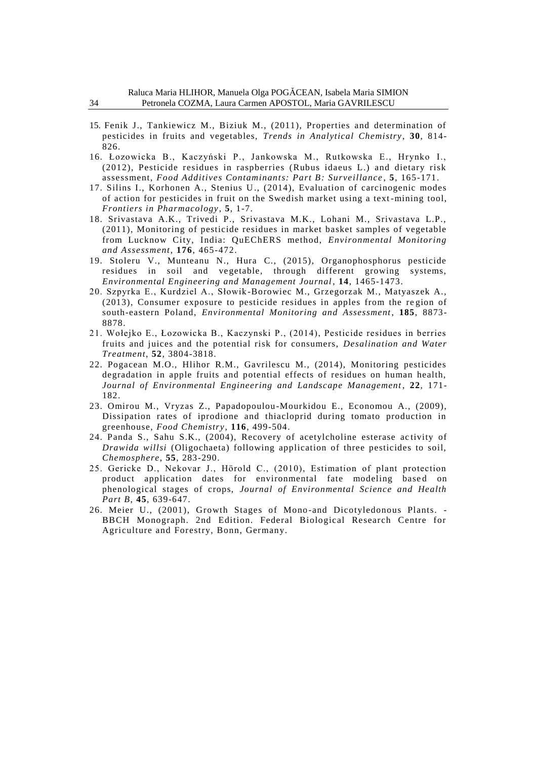- 15. Fenik J., Tankiewicz M., Biziuk M., (2011), Properties and determination of pesticides in fruits and vegetables, *Trends in Analytical Chemistry* , **30**, 814- 826.
- 16. Łozowicka B., Kaczyński P., Jankowska M., Rutkowska E., Hrynko I., (2012), Pesticide residues in raspberries (Rubus idaeus L.) and dietary risk assessment, *Food Additives Contaminants: Part B: Surveillance* , **5**, 165-171.
- 17. Silins I., Korhonen A., Stenius U., (2014), Evaluation of carcinogenic modes of action for pesticides in fruit on the Swedish market using a text -mining tool, *Frontiers in Pharmacology*, **5**, 1-7.
- 18. Srivastava A.K., Trivedi P., Srivastava M.K., Lohani M., Srivastava L.P., (2011), Monitoring of pesticide residues in market basket samples of vegetable from Lucknow City, India: QuEChERS method, *Environmental Monitoring and Assessment*, **176**, 465-472.
- 19. Stoleru V., Munteanu N., Hura C., (2015), Organophosphorus pesticide residues in soil and vegetable, through different growing systems, *Environmental Engineering and Management Journal* , **14**, 1465-1473.
- 20. Szpyrka E., Kurdziel A., Słowik -Borowiec M., Grzegorzak M., Matyaszek A., (2013), Consumer exposure to pesticide residues in apples from the re gion of south-eastern Poland, *Environmental Monitoring and Assessment*, **185**, 8873- 8878.
- 21. Wołejko E., Łozowicka B., Kaczynski P., (2014), Pesticide residues in berries fruits and juices and the potential risk for consumers, *Desalination and Water Treatment*, **52**, 3804-3818.
- 22. Pogacean M.O., Hlihor R.M., Gavrilescu M., (2014), Monitoring pesticides degradation in apple fruits and potential effects of residues on human health, *Journal of Environmental Engineering and Landscape Management* , **22**, 171- 182.
- 23. Omirou M., Vryzas Z., Papadopoulou-Mourkidou E., Economou A., (2009), Dissipation rates of iprodione and thiacloprid during tomato production in greenhouse, *Food Chemistry*, **116**, 499-504.
- 24. Panda S., Sahu S.K., (2004), Recovery of acetylcholine esterase ac tivity of *Drawida willsi* (Oligochaeta) following application of three pesticides to soil, *Chemosphere*, **55**, 283-290.
- 25. Gericke D., Nekovar J., Hörold C., (2010), Estimation of plant protection product application dates for environmental fate modeling based on phenological stages of crops, *Journal of Environmental Science and Health Part B*, **45**, 639-647.
- 26. Meier U., (2001), Growth Stages of Mono -and Dicotyledonous Plants. BBCH Monograph. 2nd Edition. Federal Biological Research Centre for Agriculture and Forestry, Bonn, Germany.